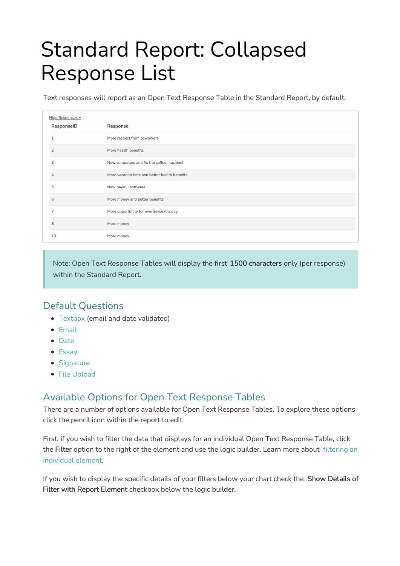# Standard Report: Collapsed Response List

Text responses will report as an Open Text Response Table in the Standard Report, by default.

| Hide Responses |                                               |
|----------------|-----------------------------------------------|
| ResponselD     | Response                                      |
|                | More respect from coworkers                   |
| $\overline{2}$ | More health benefits                          |
| 3              | New computers and fix the coffee machine!     |
|                | More vacation time and better health benefits |
| 5              | New payroll software                          |
| 6              | More money and better benefits                |
|                | More opportunity for overtime/extra pay       |
| 8              | More money                                    |
| 10             | More money                                    |

Note: Open Text Response Tables will display the first 1500 characters only (per response) within the Standard Report.

### Default Questions

- [Textbox](http://help.alchemer.com/help/textbox) (email and date validated)
- [Email](http://help.alchemer.com/help/email)
- [Date](http://help.alchemer.com/help/date)
- [Essay](http://help.alchemer.com/help/essay)
- [Signature](http://help.alchemer.com/help/signature)
- File [Upload](http://help.alchemer.com/help/file-upload)

## Available Options for Open Text Response Tables

There are a number of options available for Open Text Response Tables. To explore these options click the pencil icon within the report to edit.

First, if you wish to filter the data that displays for an individual Open Text Response Table, click the Filter option to the right of the element and use the logic builder. Learn more about filtering an [individual](http://help.alchemer.com/help/filter-a-single-question) element.

If you wish to display the specific details of your filters below your chart check the Show Details of Filter with Report Element checkbox below the logic builder.